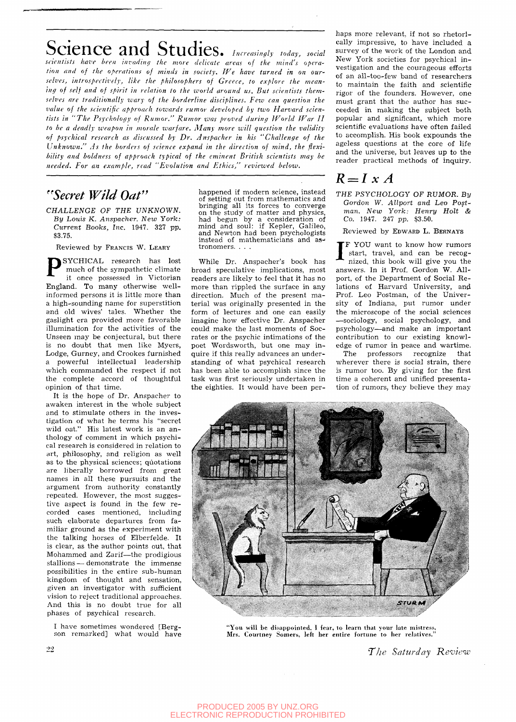## **Science and Studies.** *Increasingly today, social*

*scientists have been invading the more delicate areas of the mind's operation and of the operations of minds in society. We have turned in on ourselves, introspectively, like the philosophers of Greece, to explore the meaning of self and of spirit in relation to the world around us. But scientists themselves are traditionally ivary of the borderline disciplines. Few can question the*  value of the scientific approach towards rumor developed by two Harvard scien*tists in "The Psychology of Rumor." Rumor was proved during World War II to be a deadly weapon in morale warfare. Many more will question the validity of psychical research as discussed by Dr. Anspacher in his "Challenge of the Unknown." As the borders of science expand in the direction of mind, the flexibility and boldness of approach typical of the eminent British scientists may be needed. For an example, read "Evolution and Ethics," reviewed below.* 

## *''Secret Wild Oat"*

*CHALLENGE OF THE UNKNOWN. By Louis K. Anspacher. New York: Current Books, Inc.* 1947. 327 *pp.*  \$3.75.

Reviewed by FRANCIS W. LEARY

P SYCHICAL research has lost much of the sympathetic climate it once possessed in Victorian England. To many otherwise wellinformed persons it is little more than a high-sounding name for superstition and old wives' tales. Whether the gaslight era provided more favorable illumination for the activities of the Unseen may be conjectural, but there is no doubt that men like Myers, Lodge, Gurney, and Crookes furnished a powerful intellectual leadership which commanded the respect if not the complete accord of thoughtful opinion of that time.

It is the hope of Dr. Anspacher to awaken interest in the whole subject and to stimulate others in the investigation of what he terms his "secret wild oat." His latest work is an anthology of comment in which psychical research is considered in relation to art, philosophy, and religion as well as to the physical sciences; quotations are liberally borrowed from great names in all these pursuits and the argument from authority constantly repeated. However, the most suggestive aspect is found in the few recorded cases mentioned, including such elaborate departures from familiar ground as the experiment with the talking horses of Elberfelde. It is clear, as the author points out, that Mohammed and Zarif—the prodigious stallions — demonstrate the immense possibilities in the entire sub-human kingdom of thought and sensation, given an investigator with sufficient vision to reject traditional approaches. And this is no doubt true for all phases of psychical research.

I have sometimes wondered [Bergson remarked] what would have happened if modern science, instead of setting out from mathematics and bringing all its forces to converge on the study of matter and physics, had begun by a consideration of mind and soul: if Kepler, Galileo, and Newton had been psychologists instead of mathematicians and as- tronomers. . . .

While Dr. Anspacher's book has broad speculative implications, most readers are likely to feel that it has no more than rippled the surface in any direction. Much of the present material was originally presented in the form of lectures and one can easily imagine how effective Dr. Anspacher could make the last moments of Socrates or the psychic intimations of the poet Wordsworth, but one may inquire if this really advances an understanding of what psychical research has been able to accomplish since the task was first seriously undertaken in the eighties. It would have been perhaps more relevant, if not so rhetorically impressive, to have included a survey of the work of the London and New York societies for psychical investigation and the courageous efforts of an all-too-few band of researchers to maintain the faith and scientific rigor of the founders. However, one must grant that the author has succeeded in making the subject both popular and significant, which more scientific evaluations have often failed to accomplish. His book expounds the ageless questions at the core of life and the universe, but leaves up to the reader practical methods of inquiry.

## $R = I \times A$

*THE PSYCHOLOGY OF RUMOR. By Gordon W. Allport and Leo Postman. New York: Henry Holt & Co.* 1947. 247 *pp.* \$3.50.

Reviewed by EDWARD L. BERNAYS

I F YOU want to know how rumors start, travel, and can be recognized, this book will give you the answers. In it Prof. Gordon W. Allport, of the Department of Social Relations of Harvard University, and Prof. Leo Postman, of the University of Indiana, put rumor under the microscope of the social sciences —sociology, social psychology, and psychology—and make an important contribution to our existing knowledge of rumor in peace and wartime.

The professors recognize that wherever there is social strain, there is rumor too. By giving for the first time a coherent and unified presentation of rumors, they believe they may



"You will be disappointed, I fear, to learn that your late mistress, Mrs. Courtney Somers, left her entire fortune to her relatives.

*Tlie Saturday Review*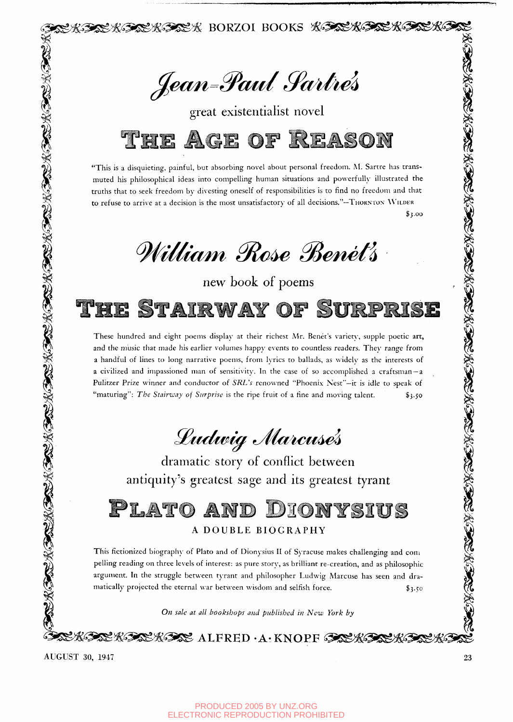Jean-Paul Sartrés

 $\mathbb{S}\mathcal{K}$  borzoi books  $\mathcal{K}\mathcal{F}\mathcal{K}^*$ 

great existentialist novel



"This is a disquieting, painful, but absorbing novel about personal freedom. M. Sartre has transmuted his philosophical ideas into compelling human situations and powerfully illustrated the truths that to seek freedom by divesting oneself of responsibilities is to find no freedom and that to refuse to arrive at a decision is the most unsatisfactory of all decisions."-THORNTON WILDER \$5.00

*^iMufym 0lc^ 0^mieii* 

new book of poems

TAIRWAY OF

These hundred and eight poems display at their richest Mr. Benet's variety, supple poetic art, and the music that made his earlier volumes happy events to countless readers. Thev range from a handful of lines to long narrative poems, from lyrics to ballads, as widely as the interests of a civilized and impassioned man of sensitivity. In the case of so accomplished a craftsman —a Pulitzer Prize winner and conductor of *SRL's* renowned "Phoenix Nest"—it is idle to speak of "maturing": *The Stairway of Surprise* is the ripe fruit of a fine and moving talent. \$3-50 *Lean-Paul Saidre's*<br>
great cisionnialist novel<br> **THE AGE OF REASON**<br>
such a specific content of the content of the content of the content of the content of the content of the content of the content of the content of the c

*SBtulif^m tyHa^icu^^* 

dramatic story of conflict between antiquity's greatest sage and its greatest tyrant

PLATO DIONYSIUS AND

This fictionized biography of Plato and of Dionysius II of Syracuse makes challenging and compelling reading on three levels of interest: as pure story, as brilliant re-creation, and as philosophic  $\mathbb{Z}_2^2$  argument. In the struggle between typest and philosopher I value story, and as philosophic story, and also  $\sum_{i=1}^{\infty}$  argument. In the struggle between tyrant and philosopher Ludwig Marcuse has seen and dramatically projected the eternal war between wisdom and selfish force.  $\qquad \qquad$  \$3.50

^ • ^ On sale at all bookshops and published in New York by

 $\mathcal{K}$ Soo  $\mathcal{K}$  (since  $\mathcal{K}$  alfred  $\cdot$  A $\cdot$  KNOPF (Soo  $\mathcal{K}$ 

AUGUST 30, 1947 **23**